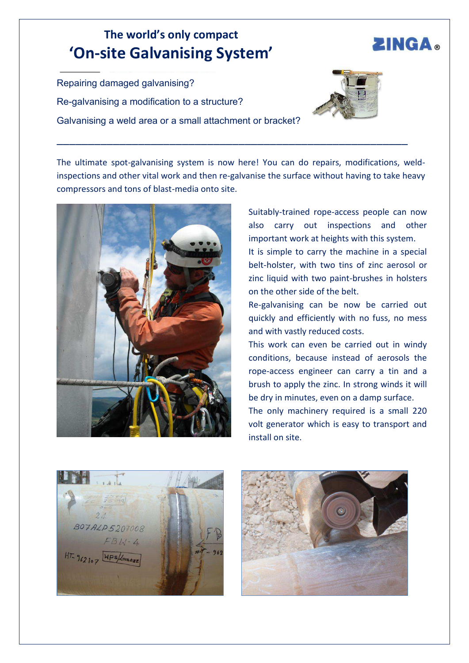## **The world͛s only compact ͚On-site Galvanising System͛**

Repairing damaged galvanising? Re-galvanising a modification to a structure? Galvanising a weld area or a small attachment or bracket?



**ZINGA.** 

The ultimate spot-galvanising system is now here! You can do repairs, modifications, weldinspections and other vital work and then re-galvanise the surface without having to take heavy compressors and tons of blast-media onto site.

\_\_\_\_\_\_\_\_\_\_\_\_\_\_\_\_\_\_\_\_\_\_\_\_\_\_\_\_\_\_\_\_\_\_\_\_\_\_\_\_\_\_\_\_\_\_\_\_\_\_\_\_\_\_\_\_



Suitably-trained rope-access people can now also carry out inspections and other important work at heights with this system.

It is simple to carry the machine in a special belt-holster, with two tins of zinc aerosol or zinc liquid with two paint-brushes in holsters on the other side of the belt.

Re-galvanising can be now be carried out quickly and efficiently with no fuss, no mess and with vastly reduced costs.

This work can even be carried out in windy conditions, because instead of aerosols the rope-access engineer can carry a tin and a brush to apply the zinc. In strong winds it will be dry in minutes, even on a damp surface.

The only machinery required is a small 220 volt generator which is easy to transport and install on site.